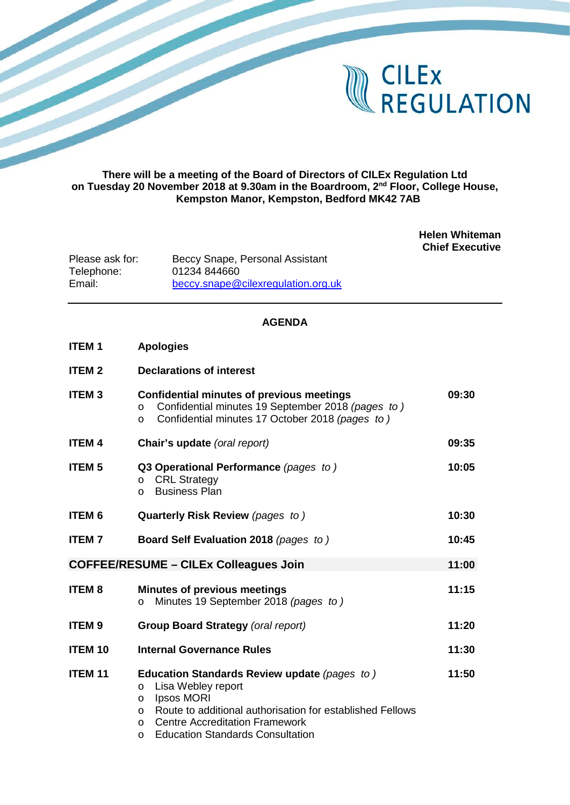

## **There will be a meeting of the Board of Directors of CILEx Regulation Ltd on Tuesday 20 November 2018 at 9.30am in the Boardroom, 2nd Floor, College House, Kempston Manor, Kempston, Bedford MK42 7AB**

**Helen Whiteman Chief Executive**

Please ask for: Beccy Snape, Personal Assistant<br>Telephone: 01234 844660 Telephone: 01234 844660<br>Email: beccy.snape@ [beccy.snape@cilexregulation.org.uk](mailto:beccy.snape@cilexregulation.org.uk)

## **AGENDA**

| <b>ITEM1</b>                                 | <b>Apologies</b>                                                                                                                                                                                                                    |       |
|----------------------------------------------|-------------------------------------------------------------------------------------------------------------------------------------------------------------------------------------------------------------------------------------|-------|
| <b>ITEM 2</b>                                | <b>Declarations of interest</b>                                                                                                                                                                                                     |       |
| <b>ITEM3</b>                                 | <b>Confidential minutes of previous meetings</b><br>Confidential minutes 19 September 2018 (pages to)<br>$\circ$<br>Confidential minutes 17 October 2018 (pages to)<br>O                                                            | 09:30 |
| <b>ITEM 4</b>                                | Chair's update (oral report)                                                                                                                                                                                                        | 09:35 |
| <b>ITEM 5</b>                                | Q3 Operational Performance (pages to)<br><b>CRL Strategy</b><br>$\circ$<br><b>Business Plan</b><br>$\circ$                                                                                                                          | 10:05 |
| <b>ITEM 6</b>                                | Quarterly Risk Review (pages to)                                                                                                                                                                                                    | 10:30 |
| <b>ITEM7</b>                                 | Board Self Evaluation 2018 (pages to)                                                                                                                                                                                               | 10:45 |
| <b>COFFEE/RESUME - CILEx Colleagues Join</b> |                                                                                                                                                                                                                                     |       |
| <b>ITEM8</b>                                 | <b>Minutes of previous meetings</b><br>Minutes 19 September 2018 (pages to)<br>$\circ$                                                                                                                                              | 11:15 |
| <b>ITEM9</b>                                 | <b>Group Board Strategy (oral report)</b>                                                                                                                                                                                           | 11:20 |
| <b>ITEM 10</b>                               | <b>Internal Governance Rules</b>                                                                                                                                                                                                    | 11:30 |
| <b>ITEM 11</b>                               | Education Standards Review update (pages to)<br>Lisa Webley report<br>$\circ$<br>Ipsos MORI<br>$\circ$<br>Route to additional authorisation for established Fellows<br>$\Omega$<br><b>Centre Accreditation Framework</b><br>$\circ$ | 11:50 |

o Education Standards Consultation